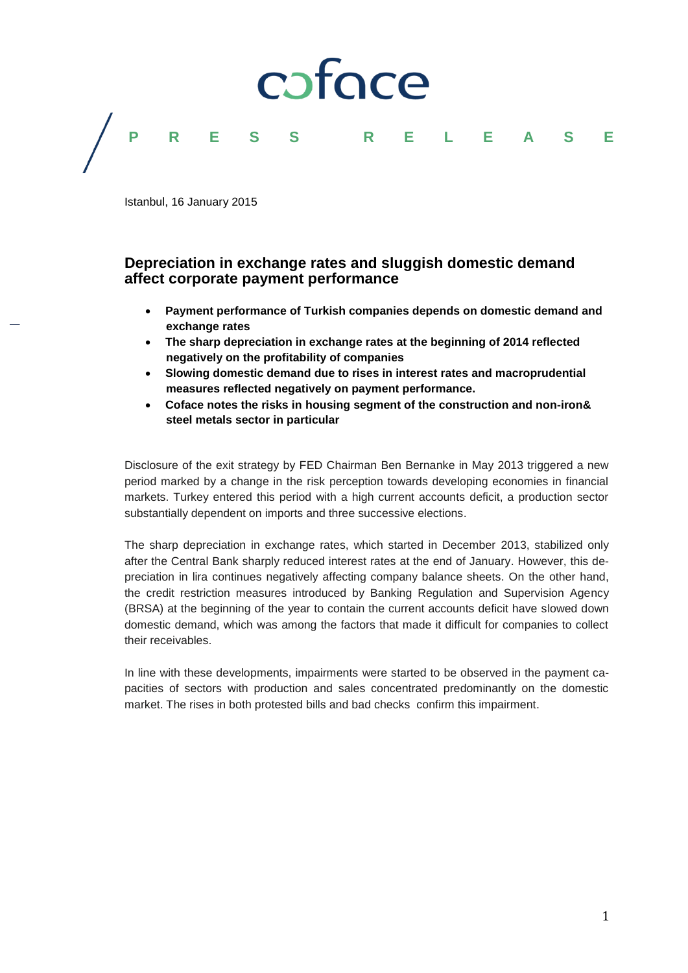

Istanbul, 16 January 2015

# **Depreciation in exchange rates and sluggish domestic demand affect corporate payment performance**

- **Payment performance of Turkish companies depends on domestic demand and exchange rates**
- **The sharp depreciation in exchange rates at the beginning of 2014 reflected negatively on the profitability of companies**
- **Slowing domestic demand due to rises in interest rates and macroprudential measures reflected negatively on payment performance.**
- **Coface notes the risks in housing segment of the construction and non-iron& steel metals sector in particular**

Disclosure of the exit strategy by FED Chairman Ben Bernanke in May 2013 triggered a new period marked by a change in the risk perception towards developing economies in financial markets. Turkey entered this period with a high current accounts deficit, a production sector substantially dependent on imports and three successive elections.

The sharp depreciation in exchange rates, which started in December 2013, stabilized only after the Central Bank sharply reduced interest rates at the end of January. However, this depreciation in lira continues negatively affecting company balance sheets. On the other hand, the credit restriction measures introduced by Banking Regulation and Supervision Agency (BRSA) at the beginning of the year to contain the current accounts deficit have slowed down domestic demand, which was among the factors that made it difficult for companies to collect their receivables.

In line with these developments, impairments were started to be observed in the payment capacities of sectors with production and sales concentrated predominantly on the domestic market. The rises in both protested bills and bad checks confirm this impairment.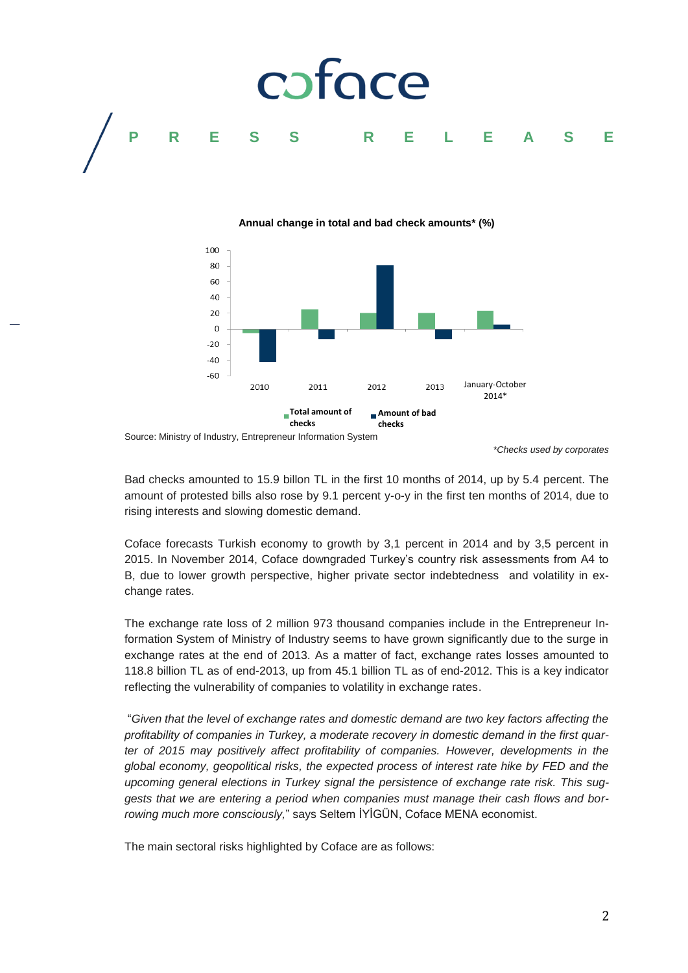

### **Annual change in total and bad check amounts\* (%)**



Source: Ministry of Industry, Entrepreneur Information System

*\*Checks used by corporates*

Bad checks amounted to 15.9 billon TL in the first 10 months of 2014, up by 5.4 percent. The amount of protested bills also rose by 9.1 percent y-o-y in the first ten months of 2014, due to rising interests and slowing domestic demand.

Coface forecasts Turkish economy to growth by 3,1 percent in 2014 and by 3,5 percent in 2015. In November 2014, Coface downgraded Turkey's country risk assessments from A4 to B, due to lower growth perspective, higher private sector indebtedness and volatility in exchange rates.

The exchange rate loss of 2 million 973 thousand companies include in the Entrepreneur Information System of Ministry of Industry seems to have grown significantly due to the surge in exchange rates at the end of 2013. As a matter of fact, exchange rates losses amounted to 118.8 billion TL as of end-2013, up from 45.1 billion TL as of end-2012. This is a key indicator reflecting the vulnerability of companies to volatility in exchange rates.

"*Given that the level of exchange rates and domestic demand are two key factors affecting the profitability of companies in Turkey, a moderate recovery in domestic demand in the first quarter of 2015 may positively affect profitability of companies. However, developments in the global economy, geopolitical risks, the expected process of interest rate hike by FED and the upcoming general elections in Turkey signal the persistence of exchange rate risk. This suggests that we are entering a period when companies must manage their cash flows and borrowing much more consciously,*" says Seltem İYİGÜN, Coface MENA economist.

The main sectoral risks highlighted by Coface are as follows:

2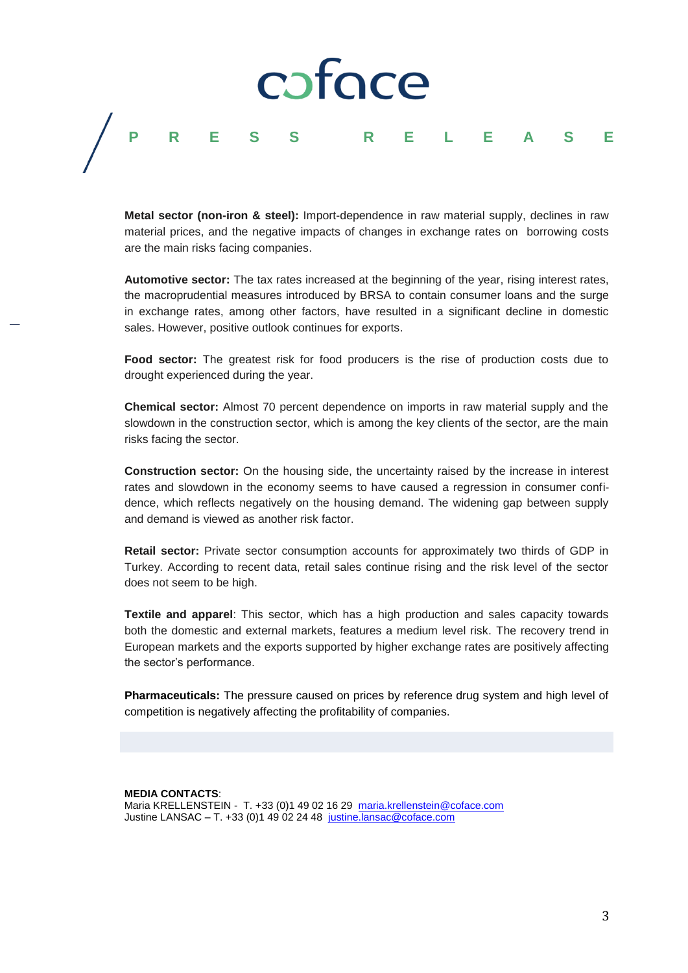# cofoce

# **PRESS R E L E A S E**

**Metal sector (non-iron & steel):** Import-dependence in raw material supply, declines in raw material prices, and the negative impacts of changes in exchange rates on borrowing costs are the main risks facing companies.

**Automotive sector:** The tax rates increased at the beginning of the year, rising interest rates, the macroprudential measures introduced by BRSA to contain consumer loans and the surge in exchange rates, among other factors, have resulted in a significant decline in domestic sales. However, positive outlook continues for exports.

**Food sector:** The greatest risk for food producers is the rise of production costs due to drought experienced during the year.

**Chemical sector:** Almost 70 percent dependence on imports in raw material supply and the slowdown in the construction sector, which is among the key clients of the sector, are the main risks facing the sector.

**Construction sector:** On the housing side, the uncertainty raised by the increase in interest rates and slowdown in the economy seems to have caused a regression in consumer confidence, which reflects negatively on the housing demand. The widening gap between supply and demand is viewed as another risk factor.

**Retail sector:** Private sector consumption accounts for approximately two thirds of GDP in Turkey. According to recent data, retail sales continue rising and the risk level of the sector does not seem to be high.

**Textile and apparel**: This sector, which has a high production and sales capacity towards both the domestic and external markets, features a medium level risk. The recovery trend in European markets and the exports supported by higher exchange rates are positively affecting the sector's performance.

**Pharmaceuticals:** The pressure caused on prices by reference drug system and high level of competition is negatively affecting the profitability of companies.

**MEDIA CONTACTS**: Maria KRELLENSTEIN - T. +33 (0)1 49 02 16 29 [maria.krellenstein@coface.com](mailto:maria.krellenstein@coface.com) Justine LANSAC – T. +33 (0)1 49 02 24 48 [justine.lansac@coface.com](mailto:justine.lansac@coface.com)